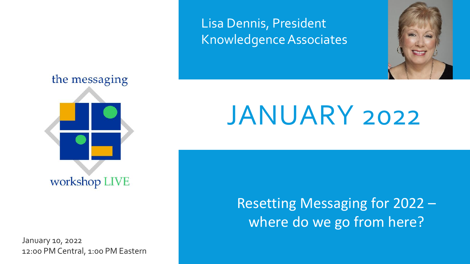

January 10, 2022 12:00 PM Central, 1:00 PM Eastern

### Lisa Dennis, President Knowledgence Associates

# JANUARY 2022

Resetting Messaging for 2022 – where do we go from here?

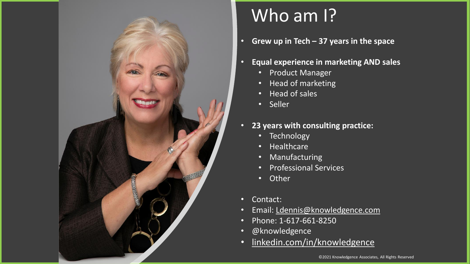

# Who am I?

- **Grew up in Tech – 37 years in the space**
- **Equal experience in marketing AND sales**
	- Product Manager
	- Head of marketing
	- Head of sales
	- Seller
- **23 years with consulting practice:**
	- Technology
	- Healthcare
	- Manufacturing
	- Professional Services
	- Other
- Contact:
- Email: [Ldennis@knowledgence.com](mailto:Ldennis@knowledgence.com)
- Phone: 1-617-661-8250
- @knowledgence
- [linkedin.com/in/knowledgence](https://www.linkedin.com/in/knowledgence)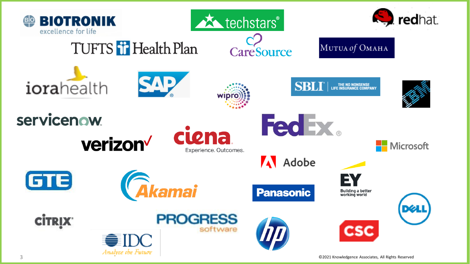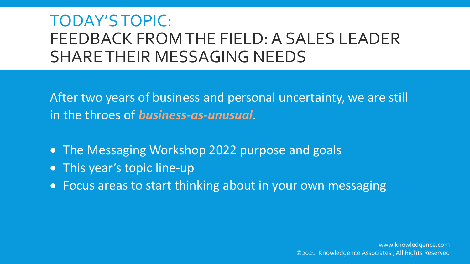### TODAY'S TOPIC: FEEDBACK FROM THE FIELD: A SALES LEADER SHARE THEIR MESSAGING NEEDS

After two years of business and personal uncertainty, we are still in the throes of *business-as-unusual*.

- The Messaging Workshop 2022 purpose and goals
- This year's topic line-up
- Focus areas to start thinking about in your own messaging

www.knowledgence.com ©2021, Knowledgence Associates , All Rights Reserved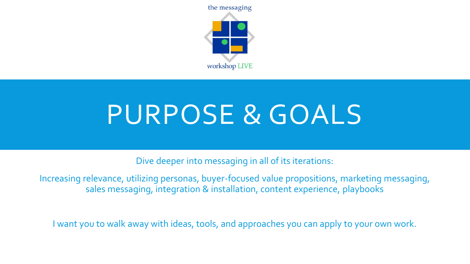

# PURPOSE & GOALS

Dive deeper into messaging in all of its iterations:

Increasing relevance, utilizing personas, buyer-focused value propositions, marketing messaging, sales messaging, integration & installation, content experience, playbooks

I want you to walk away with ideas, tools, and approaches you can apply to your own work.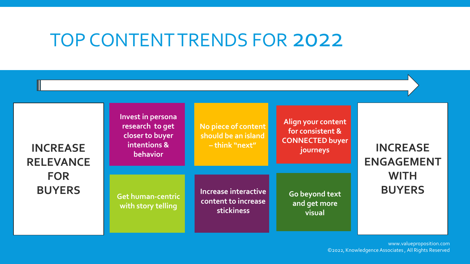# TOP CONTENT TRENDS FOR 2022

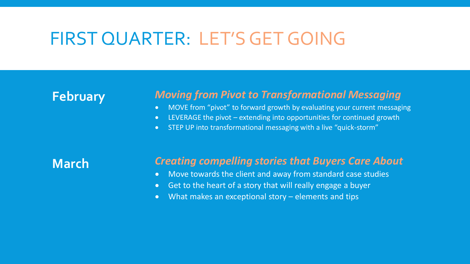### FIRST QUARTER: LET'S GET GOING

### **February**

#### *Moving from Pivot to Transformational Messaging*

- MOVE from "pivot" to forward growth by evaluating your current messaging
- LEVERAGE the pivot extending into opportunities for continued growth
- STEP UP into transformational messaging with a live "quick-storm"

**March**

#### *Creating compelling stories that Buyers Care About*

- Move towards the client and away from standard case studies
- Get to the heart of a story that will really engage a buyer
- What makes an exceptional story elements and tips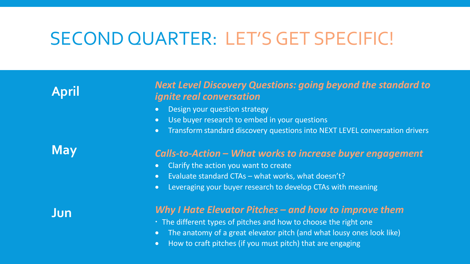# SECOND QUARTER: LET'S GET SPECIFIC!

**April**

#### *Next Level Discovery Questions: going beyond the standard to ignite real conversation*

- Design your question strategy
- Use buyer research to embed in your questions
- Transform standard discovery questions into NEXT LEVEL conversation drivers

**May**

#### *Calls-to-Action – What works to increase buyer engagement*

- Clarify the action you want to create
- Evaluate standard CTAs what works, what doesn't?
- Leveraging your buyer research to develop CTAs with meaning

**Jun**

#### *Why I Hate Elevator Pitches – and how to improve them*

- The different types of pitches and how to choose the right one
- The anatomy of a great elevator pitch (and what lousy ones look like)
- How to craft pitches (if you must pitch) that are engaging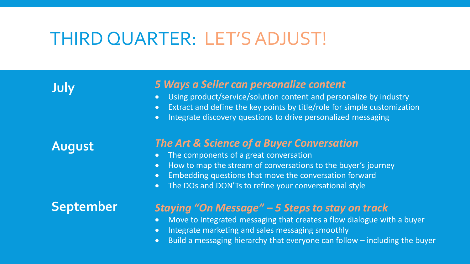# THIRD QUARTER: LET'S ADJUST!

**July**

**August**

#### *5 Ways a Seller can personalize content*

- Using product/service/solution content and personalize by industry
- Extract and define the key points by title/role for simple customization
- Integrate discovery questions to drive personalized messaging

#### *The Art & Science of a Buyer Conversation*

- The components of a great conversation
- How to map the stream of conversations to the buyer's journey
- Embedding questions that move the conversation forward
- The DOs and DON'Ts to refine your conversational style

### **September**

#### *Staying "On Message" – 5 Steps to stay on track*

- Move to Integrated messaging that creates a flow dialogue with a buyer
- Integrate marketing and sales messaging smoothly
- Build a messaging hierarchy that everyone can follow including the buyer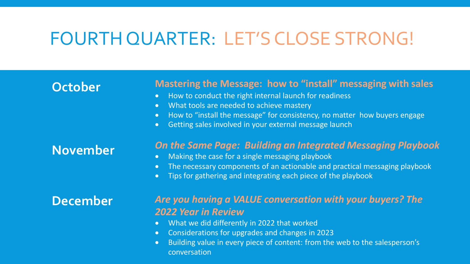# FOURTH QUARTER: LET'S CLOSE STRONG!

### **October**

#### **Mastering the Message: how to "install" messaging with sales**

- How to conduct the right internal launch for readiness
- What tools are needed to achieve mastery
- How to "install the message" for consistency, no matter how buyers engage
- Getting sales involved in your external message launch

### **November**

#### *On the Same Page: Building an Integrated Messaging Playbook*

- Making the case for a single messaging playbook
- The necessary components of an actionable and practical messaging playbook
- Tips for gathering and integrating each piece of the playbook

### **December**

#### *Are you having a VALUE conversation with your buyers? The 2022 Year in Review*

- What we did differently in 2022 that worked
- Considerations for upgrades and changes in 2023
- Building value in every piece of content: from the web to the salesperson's conversation